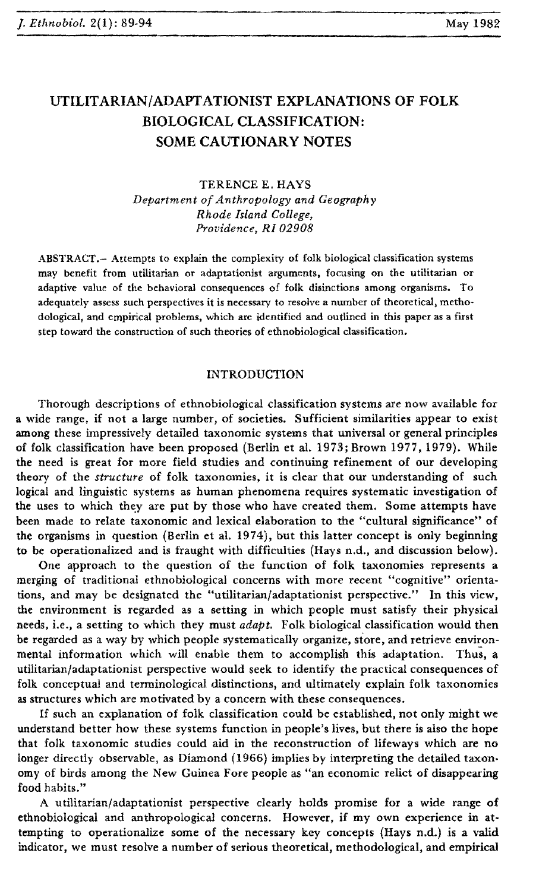# UTILITARIAN/ADAPTATIONIST EXPLANATIONS OF FOLK BIOLOGICAL CLASSIFICATION: SOME CAUTIONARY NOTES

TERENCE E. HAYS *Department ofAnthropology and Geography Rhode Island College, Providence, RI* 02908

ABSTRACT.- Attempts to explain the complexity of folk biological classification systems may benefit from utilitarian or adaptationist arguments, focusing on the utilitarian or adaptive value of the behavioral consequences of folk disinctions among organisms. To adequately assess such perspectives it is necessary to resolve a number of theoretical, methodological, and empirical problems, which are identified and outlined in this paper as a first step toward the construction of such theories of ethnobiological classification.

### INTRODUCTION

Thorough descriptions of ethnobiological classification systems are now available for a wide range, if not a large number, of societies. Sufficient similarities appear to exist among these impressively detailed taxonomic systems that universal or general principles of folk classification have been proposed (Berlin et al. 1973; Brown 1977,1979). While the need is great for more field studies and continuing refinement of our developing theory of the *structure* of folk taxonomies, it is clear that our understanding of such logical and linguistic systems as human phenomena requires systematic investigation of the uses to which they are put by those who have created them. Some attempts have been made to relate taxonomic and lexical elaboration to the "cultural significance" of the organisms in question (Berlin et al. 1974), but this latter concept is only beginning to be operationalized and is fraught with difficulties (Hays n.d., and discussion below).

One approach to the question of the function of folk taxonomies represents a merging of traditional ethnobiological concerns with more recent "cognitive" orientations, and may be designated the "utilitarian/adaptationist perspective." In this view, the environment is regarded as a setting in which people must satisfy their physical needs, Le., a setting to which they must *adapt.* Folk biological classification would then be regarded as a way by which people systematically organize, siore, and retrieve environmental information which will enable them to accomplish this adaptation. Thus, a utilitarian/adaptationist perspective would seek to identify the practical consequences of folk conceptual and terminological distinctions, and ultimately explain folk taxonomies as structures which are motivated by a concern with these consequences.

If such an explanation of folk classification could be established, not only might we understand better how these systems function in people's lives, but there is also the hope that folk taxonomic studies could aid in the reconstruction of lifeways which are no longer directly observable, as Diamond (1966) implies by interpreting the detailed taxonomy of birds among the New Guinea Fore people as "an economic relict of disappearing food habits."

A utilitarian/adaptationist perspective clearly holds promise for a wide range of ethnobiological and anthropological concerns. However, if my own experience in at· tempting to operationalize some of the necessary key concepts (Hays n.d.) is a valid indicator, we must resolve a number of serious theoretical, methodological, and empirical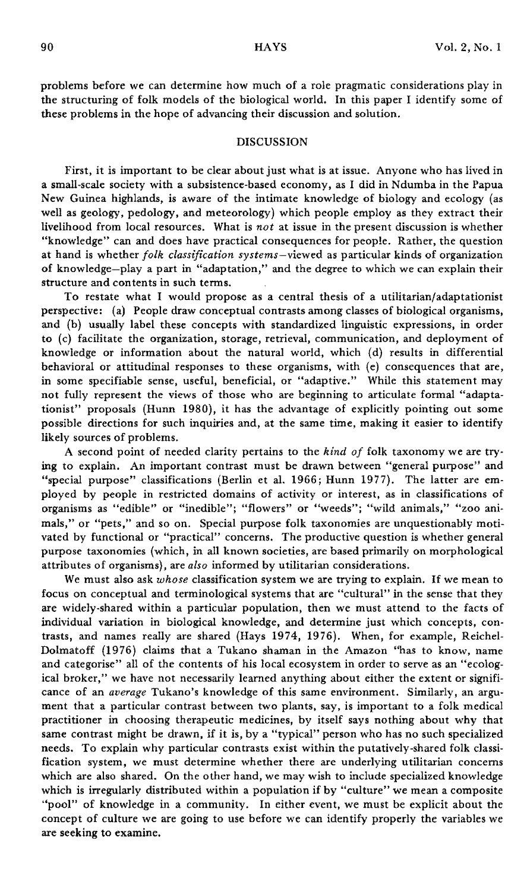problems before we can determine how much of a role pragmatic considerations play in the structuring of folk models of the biological world. In this paper I identify some of these problems in the hope of advancing their discussion and solution.

#### DISCUSSION

First, it is important to be clear about just what is at issue. Anyone who has lived in a small-scale society with a subsistence-based economy, as I did in Ndumba in the Papua New Guinea highlands, is aware of the intimate knowledge of biology and ecology (as well as geology, pedology, and meteorology) which people employ as they extract their livelihood from local resources. What is *not* at issue in the present discussion is whether "knowledge" can and does have practical consequences for people. Rather, the question at hand is whether *folk classification systems-viewed* as particular kinds of organization of knowledge-playa part in "adaptation," and the degree to which we can explain their structure and contents in such terms.

To restate what I would propose as a central thesis of a utilitarian/adaptationist perspective: (a) People draw conceptual contrasts among classes of biological organisms, and (b) usually label these concepts with standardized linguistic expressions, in order to (c) facilitate the organization, storage, retrieval, communication, and deployment of knowledge or information about the natural world, which (d) results in differential behavioral or attitudinal responses to these organisms, with (e) consequences that are, in some specifiable sense, useful, beneficial, or "adaptive." While this statement may not fully represent the views of those who are beginning to articulate formal "adaptationist" proposals (Hunn 1980), it has the advantage of explicitly pointing out some possible directions for such inquiries and, at the same time, making it easier to identify likely sources of problems.

A second point of needed clarity pertains to the *kind of* folk taxonomy we are trying to explain. An important contrast must be drawn between "general purpose" and "special purpose" classifications (Berlin et al. 1966; Hunn 1977). The latter are employed by people in restricted domains of activity or interest, as in classifications of organisms as "edible" or "inedible"; "flowers" or "weeds"; "wild animals," "zoo animals," or "pets," and so on. Special purpose folk taxonomies are unquestionably motivated by functional or "practical" concerns. The productive question is whether general purpose taxonomies (which, in all known societies, are based primarily on morphological attributes of organisms), are *also* informed by utilitarian considerations.

We must also ask *whose* classification system we are trying to explain. If we mean to focus on conceptual and terminological systems that are "cultural" in the sense that they are widely-shared within a particular population, then we must attend to the facts of individual variation in biological knowledge, and determine just which concepts, contrasts, and names really are shared (Hays 1974, 1976). When, for example, Reichel-Dolmatoff (1976) claims that a Tukano shaman in the Amazon "has to know, name and categorise" all of the contents of his local ecosystem in order to serve as an "ecological broker," we have not necessarily learned anything about either the extent or significance of an *average* Tukano's knowledge of this same environment. Similarly, an argument that a particular contrast between two plants, say, is important to a folk medical practitioner in choosing therapeutic medicines, by itself says nothing about why that same contrast might be drawn, if it is, by a "typical" person who has no such specialized needs. To explain why particular contrasts exist within the putatively-shared folk classification system, we must determine whether there are underlying utilitarian concerns which are also shared. On the other hand, we may wish to include specialized knowledge which is irregularly distributed within a population if by "culture" we mean a composite "pool" of knowledge in a community. In either event, we must be explicit about the concept of culture we are going to use before we can identify properly the variables we are seeking to examine.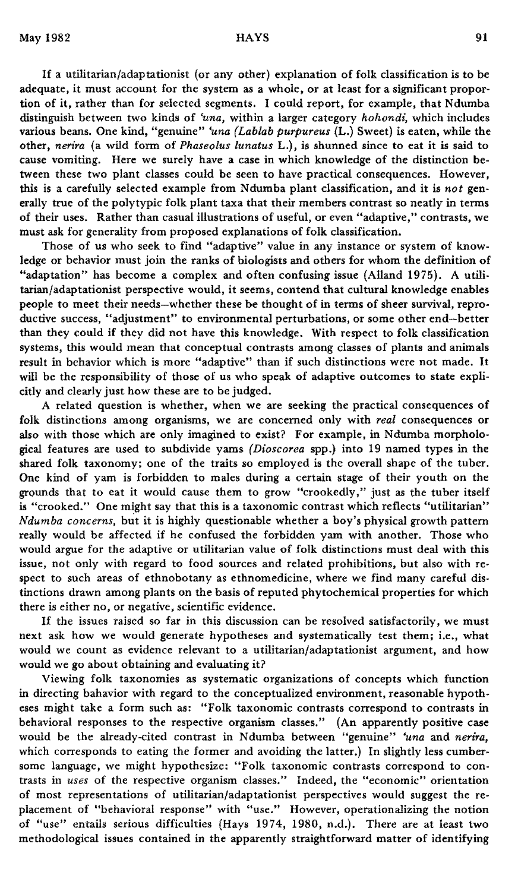If a utilitarian/adaptationist (or any other) explanation of folk classification is to be adequate, it must account for the system as a whole, or at least for a significant proportion of it, rather than for selected segments. I could report, for example, that Ndumba distinguish between two kinds of *'una,* within a larger category *hohondi,* which includes various beans. One kind, "genuine" *'una (Lablab purpureus* (L.) Sweet) is eaten, while the other, *nerira* (a wild form of *Phaseolus lunatus* L.), is shunned since to eat it is said to cause vomiting. Here we surely have a case in which knowledge of the distinction between these two plant classes could be seen to have practical consequences. However, this is a carefully selected example from Ndumba plant classification, and it is *not* generally true of the polytypic folk plant taxa that their members contrast so neatly in terms of their uses. Rather than casual illustrations of useful, or even "adaptive," contrasts, we must ask for generality from proposed explanations of folk classification.

Those of us who seek to find "adaptive" value in any instance or system of knowledge or behavior must join the ranks of biologists and others for whom the definition of "adaptation" has become a complex and often confusing issue (Alland 1975). A utilitarian/adaptationist perspective would, it seems, contend that cultural knowledge enables people to meet their needs-whether these be thought of in terms of sheer survival, reproductive success, "adjustment" to environmental perturbations, or some other end-better than they could if they did not have this knowledge. With respect to folk classification systems, this would mean that conceptual contrasts among classes of plants and animals result in behavior which is more "adaptive" than if such distinctions were not made. It will be the responsibility of those of us who speak of adaptive outcomes to state explicitly and clearly just how these are to be judged.

A related question is whether, when we are seeking the practical consequences of folk distinctions among organisms, we are concerned only with *real* consequences or also with those which are only imagined to exist? For example, in Ndumba morphological features are used to subdivide yams *(Dioscorea* spp.) into 19 named types in the shared folk taxonomy; one of the traits so employed is the overall shape of the tuber. One kind of yam is forbidden to males during a certain stage of their youth on the grounds that to eat it would cause them to grow "crookedly," just as the tuber itself is "crooked." One might say that this is a taxonomic contrast which reflects "utilitarian" *Ndumba concerns,* but it is highly questionable whether a boy's physical growth pattern really would be affected if he confused the forbidden yam with another. Those who would argue for the adaptive or utilitarian value of folk distinctions must deal with this issue, not only with regard to food sources and related prohibitions, but also with respect to such areas of ethnobotany as ethnomedicine, where we find many careful distinctions drawn among plants on the basis of reputed phytochemical properties for which there is either no, or negative, scientific evidence.

If the issues raised so far in this discussion can be resolved satisfactorily, we must next ask how we would generate hypotheses and systematically test them; i.e., what would we count as evidence relevant to a utilitarian/adaptationist argument, and how would we go about obtaining and evaluating it?

Viewing folk taxonomies as systematic organizations of concepts which function in directing bahavior with regard to the conceptualized environment, reasonable hypotheses might take a form such as: "Folk taxonomic contrasts correspond to contrasts in behavioral responses to the respective organism classes." (An apparently positive case would be the already-cited contrast in Ndumba between "genuine" *'una* and *nerira,* which corresponds to eating the former and avoiding the latter.) In slightly less cumbersome language, we might hypothesize: "Folk taxonomic contrasts correspond to contrasts in *uses* of the respective organism classes." Indeed, the "economic" orientation of most representations of utilitarian/adaptationist perspectives would suggest the replacement of "behavioral response" with "use." However, operationalizing the notion of "use" entails serious difficulties (Hays 1974, 1980, n.d.). There are at least two methodological issues contained in the apparently straightforward matter of identifying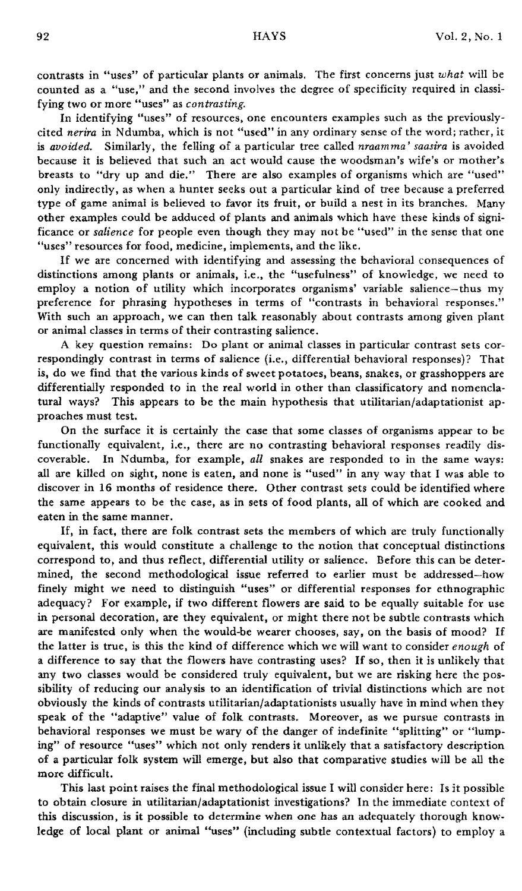contrasts in "uses" of particular plants or animals. The first concerns just *what* will be counted as a "use," and the second involves the degree of specificity required in classifying two or more "uses" as *contrasting.*

In identifying "uses" of resources, one encounters examples such as the previouslycited *nerira* in Ndumba, which is not "used" in any ordinary sense of the word; rather, it is *avoided.* Similarly, the felling of a particular tree called *nraamma' saasira* is avoided because it is believed that such an act would cause the woodsman's wife's or mother's breasts to "dry up and die." There are also examples of organisms which are "used" only indirectly, as when a hunter seeks out a particular kind of tree because a preferred type of game animal is believed to favor its fruit, or build a nest in its branches. Many other examples could be adduced of plants and animals which have these kinds of significance or *salience* for people even though they may not be "used" in the sense that one "uses" resources for food, medicine, implements, and the like.

If we are concerned with identifying and assessing the behavioral consequences of distinctions among plants or animals, i.e., the "usefulness" of knowledge, we need to employ a notion of utility which incorporates organisms' variable salience~thus my preference for phrasing hypotheses in terms of "contrasts in behavioral responses." With such an approach, we can then talk reasonably about contrasts among given plant or animal classes in terms of their contrasting salience.

A key question remains: Do plant or animal classes in particular contrast sets correspondingly contrast in terms of salience (i.e., differential behavioral responses)? That is, do we find that the various kinds of sweet potatoes, beans, snakes, or grasshoppers are differentially responded to in the real world in other than classificatory and nomenclatural ways? This appears to be the main hypothesis that utilitarian/adaptationist approaches must test.

On the surface it is certainly the case that some classes of organisms appear to be functionally equivalent, i.e., there are no contrasting behavioral responses readily discoverable. In Ndumba, for example, *all* snakes are responded to in the same ways: all are killed on sight, none is eaten, and none is "used" in any way that I was able to discover in 16 months of residence there. Other contrast sets could be identified where the same appears to be the case, as in sets of food plants, all of which are cooked and eaten in the same manner.

If, in fact, there are folk contrast sets the members of which are truly functionally equivalent, this would constitute a challenge to the notion that conceptual distinctions correspond to, and thus reflect, differential utility or salience. Before this can be determined, the second methodological issue referred to earlier must be addressed-how finely might we need to distinguish "uses" or differential responses for ethnographic adequacy? For example, if two different flowers are said to be equally suitable for use in personal decoration, are they equivalent, or might there not be subtle contrasts which are manifested only when the would-be wearer chooses, say, on the basis of mood? If the latter is true, is this the kind of difference which we will want to consider *enough* of <sup>a</sup> difference to say that the flowers have contrasting uses? If so, then it is unlikely that any two classes would be considered truly equivalent, but we are risking here the possibility of reducing our analysis to an identification of trivial distinctions which are not obviously the kinds of contrasts utilitarian/adaptationists usually have in mind when they speak of the "adaptive" value of folk contrasts. Moreover, as we pursue contrasts in behavioral responses we must be wary of the danger of indefinite "splitting" or "lumping" of resource "uses" which not only renders it unlikely that a satisfactory description of a particular folk system will emerge, but also that comparative studies will be all the more difficult.

This last point raises the final methodological issue I will consider here: Is it possible to obtain closure in utilitarian/adaptationist investigations? In the immediate context of this discussion, is it possible to determine when one has an adequately thorough knowledge of local plant or animal "uses" (induding subtle contextual factors) to employ a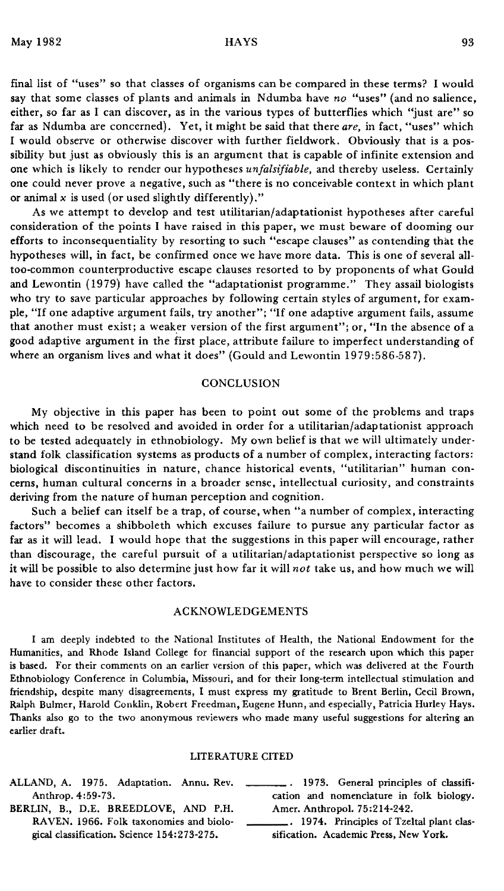final list of "uses" so that classes of organisms can be compared in these terms? I would say that some classes of plants and animals in Ndumba have *no* "uses" (and no salience, either, so far as I can discover, as in the various types of butterflies which "just are" so far as Ndumba are concerned). Yet, it might be said that there *are,* in fact, "uses" which I would observe or otherwise discover with further fieldwork. Obviously that is a possibility but just as obviously this is an argument that is capable of infinite extension and one which is likely to render our hypotheses *unfalsifiable,* and thereby useless. Certainly one could never prove a negative, such as "there is no conceivable context in which plant or animal  $x$  is used (or used slightly differently)."

As we attempt to develop and test utilitarian/adaptationist hypotheses after careful consideration of the points I have raised in this paper, we must beware of dooming our efforts to inconsequentiality by resorting to such "escape clauses" as contending that the hypotheses will, in fact, be confirmed once we have more data. This is one of several alltoo-common counterproductive escape clauses resorted to by proponents of what Gould and Lewontin (1979) have called the "adaptationist programme." They assail biologists who try to save particular approaches by following certain styles of argument, for example, "If one adaptive argument fails, try another"; "If one adaptive argument fails, assume that another must exist; a weaker version of the first argument"; or, "In the absence of a good adaptive argument in the first place, attribute failure to imperfect understanding of where an organism lives and what it does" (Gould and Lewontin 1979:586-587).

### **CONCLUSION**

My objective in this paper has been to point out some of the problems and traps which need to be resolved and avoided in order for a utilitarian/adaptationist approach to be tested adequately in ethnobiology. My own belief is that we will ultimately understand folk classification systems as products of a number of complex, interacting factors: biological discontinuities in nature, chance historical events, "utilitarian" human concerns, human cultural concerns in a broader sense, intellectual curiosity, and constraints deriving from the nature of human perception and cognition.

Such a belief can itself be a trap, of course, when "a number of complex, interacting factors" becomes a shibboleth which excuses failure to pursue any particular factor as far as it will lead. I would hope that the suggestions in this paper will encourage, rather than discourage, the careful pursuit of a utilitarian/adaptationist perspective so long as it will be possible to also determine just how far it will *not* take us, and how much we will have to consider these other factors.

#### ACKNOWLEDGEMENTS

I am deeply indebted to the National Institutes of Health, the National Endowment for the Humanities, and Rhode Island College for financial support of the research upon which this paper is based. For their comments on an earlier version of this paper, which was delivered at the Fourth Ethnobiology Conference in Columbia, Missouri, and for their long-term intellectual stimulation and friendship, despite many disagreements, I must express my gratitude to Brent Berlin, Cecil Brown, Ralph Bulmer, Harold Conklin, Robert Freedman, Eugene Hunn, and especially, Patricia Hurley Hays. Thanks also go to the two anonymous reviewers who made many useful suggestions for altering an earlier draft.

#### LITERATURE CITED

- ALLAND, A. 1975. Adaptation. Annu. Rev. Anthrop.4:59-73.
- BERLIN, B., D.E. BREEDLOVE, AND P.H. RAVEN. 1966. Folk taxonomies and biological classification. Science 154:273-275.
- 1973. General principles of classification and nomenclature in folk biology. Amer. Anthropol. 75:214-242.
- \_\_\_, 1974. Principles of Tze1tal plant classification. Academic Press, New York.